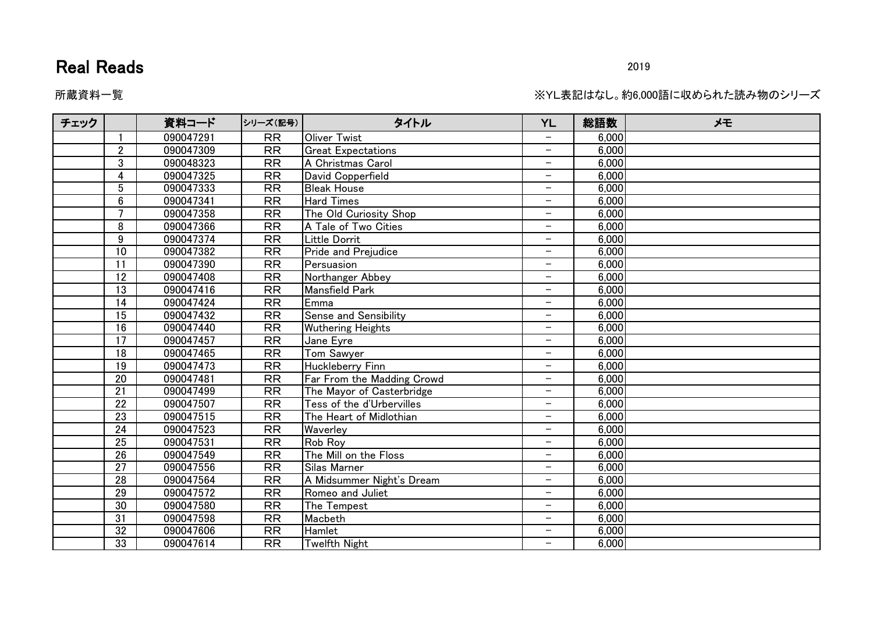## Real Reads 2019

所蔵資料一覧 ※YL表記はなし。約6,000語に収められた読み物のシリーズ。

| チェック |                 | 資料コード     | シリーズ(記号)        | タイトル                       | <b>YL</b>                | 総語数   | メモ |
|------|-----------------|-----------|-----------------|----------------------------|--------------------------|-------|----|
|      |                 | 090047291 | <b>RR</b>       | <b>Oliver Twist</b>        |                          | 6,000 |    |
|      | $\overline{2}$  | 090047309 | <b>RR</b>       | <b>Great Expectations</b>  | $\overline{\phantom{0}}$ | 6,000 |    |
|      | $\mathfrak{S}$  | 090048323 | <b>RR</b>       | A Christmas Carol          | $\overline{\phantom{0}}$ | 6,000 |    |
|      | 4               | 090047325 | <b>RR</b>       | David Copperfield          | $\overline{\phantom{0}}$ | 6,000 |    |
|      | 5               | 090047333 | <b>RR</b>       | <b>Bleak House</b>         | -                        | 6,000 |    |
|      | $6\phantom{1}$  | 090047341 | RR              | <b>Hard Times</b>          | $\overline{\phantom{0}}$ | 6,000 |    |
|      |                 | 090047358 | RR              | The Old Curiosity Shop     | $\overline{\phantom{0}}$ | 6,000 |    |
|      | 8               | 090047366 | <b>RR</b>       | A Tale of Two Cities       | $\qquad \qquad -$        | 6,000 |    |
|      | 9               | 090047374 | <b>RR</b>       | Little Dorrit              | $\overline{\phantom{0}}$ | 6,000 |    |
|      | 10              | 090047382 | RR              | Pride and Prejudice        | $\overline{\phantom{0}}$ | 6,000 |    |
|      | $\overline{11}$ | 090047390 | <b>RR</b>       | Persuasion                 | $\overline{\phantom{0}}$ | 6,000 |    |
|      | 12              | 090047408 | <b>RR</b>       | Northanger Abbey           | $\overline{\phantom{0}}$ | 6,000 |    |
|      | 13              | 090047416 | RR              | Mansfield Park             | $\qquad \qquad -$        | 6,000 |    |
|      | 14              | 090047424 | <b>RR</b>       | Emma                       | $\overline{\phantom{0}}$ | 6,000 |    |
|      | 15              | 090047432 | <b>RR</b>       | Sense and Sensibility      | $\overline{\phantom{0}}$ | 6,000 |    |
|      | 16              | 090047440 | <b>RR</b>       | <b>Wuthering Heights</b>   | $\overline{\phantom{0}}$ | 6,000 |    |
|      | 17              | 090047457 | RR              | Jane Eyre                  | $\overline{\phantom{0}}$ | 6,000 |    |
|      | 18              | 090047465 | <b>RR</b>       | <b>Tom Sawyer</b>          | -                        | 6,000 |    |
|      | 19              | 090047473 | <b>RR</b>       | <b>Huckleberry Finn</b>    | $\qquad \qquad -$        | 6,000 |    |
|      | $\overline{20}$ | 090047481 | $\overline{RR}$ | Far From the Madding Crowd | $\overline{\phantom{0}}$ | 6,000 |    |
|      | 21              | 090047499 | <b>RR</b>       | The Mayor of Casterbridge  | $\qquad \qquad -$        | 6,000 |    |
|      | 22              | 090047507 | <b>RR</b>       | Tess of the d'Urbervilles  | $\overline{\phantom{0}}$ | 6,000 |    |
|      | $\overline{23}$ | 090047515 | RR              | The Heart of Midlothian    | $\overline{\phantom{0}}$ | 6,000 |    |
|      | 24              | 090047523 | <b>RR</b>       | Waverley                   | -                        | 6,000 |    |
|      | 25              | 090047531 | <b>RR</b>       | Rob Roy                    | $\overline{\phantom{0}}$ | 6,000 |    |
|      | 26              | 090047549 | <b>RR</b>       | The Mill on the Floss      | $\overline{\phantom{0}}$ | 6,000 |    |
|      | 27              | 090047556 | <b>RR</b>       | Silas Marner               | $\overline{\phantom{0}}$ | 6,000 |    |
|      | 28              | 090047564 | <b>RR</b>       | A Midsummer Night's Dream  | $\overline{\phantom{0}}$ | 6,000 |    |
|      | 29              | 090047572 | <b>RR</b>       | Romeo and Juliet           | $\overline{\phantom{0}}$ | 6,000 |    |
|      | 30              | 090047580 | <b>RR</b>       | The Tempest                | $\overline{\phantom{0}}$ | 6,000 |    |
|      | 31              | 090047598 | <b>RR</b>       | Macbeth                    | $\qquad \qquad -$        | 6,000 |    |
|      | 32              | 090047606 | RR              | Hamlet                     | $\qquad \qquad -$        | 6,000 |    |
|      | 33              | 090047614 | <b>RR</b>       | Twelfth Night              | $\overline{\phantom{0}}$ | 6,000 |    |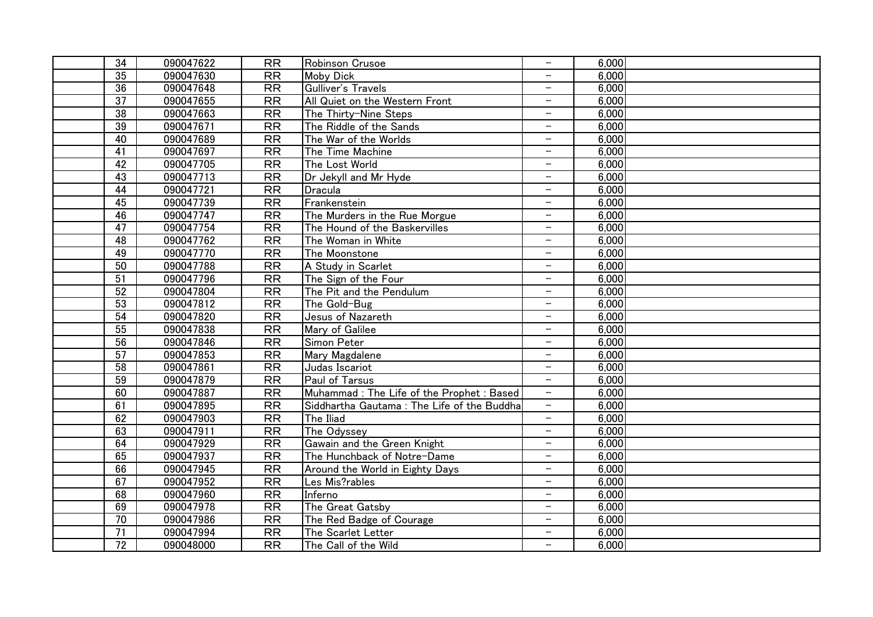| 34              | 090047622 | <b>RR</b>       | Robinson Crusoe                            | $\overline{\phantom{0}}$ | 6,000 |  |
|-----------------|-----------|-----------------|--------------------------------------------|--------------------------|-------|--|
| 35              | 090047630 | $\overline{RR}$ | <b>Moby Dick</b>                           |                          | 6,000 |  |
| 36              | 090047648 | RR              | Gulliver's Travels                         | $\overline{\phantom{0}}$ | 6,000 |  |
| $\overline{37}$ | 090047655 | RR              | All Quiet on the Western Front             | $\overline{\phantom{0}}$ | 6,000 |  |
| 38              | 090047663 | RR              | The Thirty-Nine Steps                      | $\overline{\phantom{a}}$ | 6,000 |  |
| 39              | 090047671 | <b>RR</b>       | The Riddle of the Sands                    | $\overline{\phantom{a}}$ | 6,000 |  |
| 40              | 090047689 | RR              | The War of the Worlds                      | $\overline{\phantom{a}}$ | 6,000 |  |
| $\overline{41}$ | 090047697 | <b>RR</b>       | The Time Machine                           | $\overline{\phantom{a}}$ | 6,000 |  |
| $\overline{42}$ | 090047705 | RR              | The Lost World                             | $\overline{\phantom{m}}$ | 6,000 |  |
| 43              | 090047713 | <b>RR</b>       | Dr Jekyll and Mr Hyde                      | $\overline{\phantom{m}}$ | 6.000 |  |
| 44              | 090047721 | <b>RR</b>       | Dracula                                    | $\qquad \qquad -$        | 6,000 |  |
| 45              | 090047739 | <b>RR</b>       | Frankenstein                               | $\overline{\phantom{0}}$ | 6,000 |  |
| 46              | 090047747 | $\overline{RR}$ | The Murders in the Rue Morgue              | $\overline{\phantom{0}}$ | 6,000 |  |
| 47              | 090047754 | $\overline{RR}$ | The Hound of the Baskervilles              | $\overline{\phantom{0}}$ | 6,000 |  |
| 48              | 090047762 | RR              | The Woman in White                         | $\overline{\phantom{0}}$ | 6,000 |  |
| 49              | 090047770 | RR              | The Moonstone                              | $\overline{\phantom{m}}$ | 6,000 |  |
| $\overline{50}$ | 090047788 | RR              | A Study in Scarlet                         | $\overline{\phantom{0}}$ | 6,000 |  |
| $\overline{51}$ | 090047796 | RR              | The Sign of the Four                       | $\equiv$                 | 6,000 |  |
| $\overline{52}$ | 090047804 | RR              | The Pit and the Pendulum                   | $\overline{\phantom{a}}$ | 6,000 |  |
| 53              | 090047812 | <b>RR</b>       | The Gold-Bug                               | $\overline{\phantom{a}}$ | 6,000 |  |
| $\overline{54}$ | 090047820 | <b>RR</b>       | Jesus of Nazareth                          | $\overline{\phantom{m}}$ | 6.000 |  |
| 55              | 090047838 | <b>RR</b>       | Mary of Galilee                            | $\qquad \qquad -$        | 6.000 |  |
| 56              | 090047846 | <b>RR</b>       | Simon Peter                                | $\overline{\phantom{0}}$ | 6,000 |  |
| 57              | 090047853 | RR              | Mary Magdalene                             | $\overline{\phantom{m}}$ | 6,000 |  |
| 58              | 090047861 | <b>RR</b>       | Judas Iscariot                             | $\overline{\phantom{0}}$ | 6,000 |  |
| 59              | 090047879 | RR              | Paul of Tarsus                             | $\overline{\phantom{0}}$ | 6,000 |  |
| 60              | 090047887 | RR              | Muhammad: The Life of the Prophet: Based   | $\overline{\phantom{m}}$ | 6,000 |  |
| 61              | 090047895 | $\overline{RR}$ | Siddhartha Gautama: The Life of the Buddha | $\overline{\phantom{a}}$ | 6,000 |  |
| 62              | 090047903 | RR              | The Iliad                                  | $-$                      | 6,000 |  |
| 63              | 090047911 | RR              | The Odyssey                                | $\overline{\phantom{a}}$ | 6,000 |  |
| 64              | 090047929 | RR              | Gawain and the Green Knight                | $\overline{\phantom{m}}$ | 6,000 |  |
| 65              | 090047937 | <b>RR</b>       | The Hunchback of Notre-Dame                | $\overline{\phantom{m}}$ | 6.000 |  |
| 66              | 090047945 | RR              | Around the World in Eighty Days            | $\overline{\phantom{m}}$ | 6.000 |  |
| 67              | 090047952 | <b>RR</b>       | Les Mis?rables                             | $\qquad \qquad -$        | 6,000 |  |
| 68              | 090047960 | RR              | Inferno                                    | $\overline{\phantom{0}}$ | 6,000 |  |
| 69              | 090047978 | <b>RR</b>       | The Great Gatsby                           | $\overline{\phantom{0}}$ | 6,000 |  |
| 70              | 090047986 | $\overline{RR}$ | The Red Badge of Courage                   | $\qquad \qquad -$        | 6,000 |  |
| $\overline{71}$ | 090047994 | RR              | The Scarlet Letter                         | $\qquad \qquad -$        | 6,000 |  |
| $\overline{72}$ | 090048000 | <b>RR</b>       | The Call of the Wild                       | $\overline{\phantom{0}}$ | 6,000 |  |
|                 |           |                 |                                            |                          |       |  |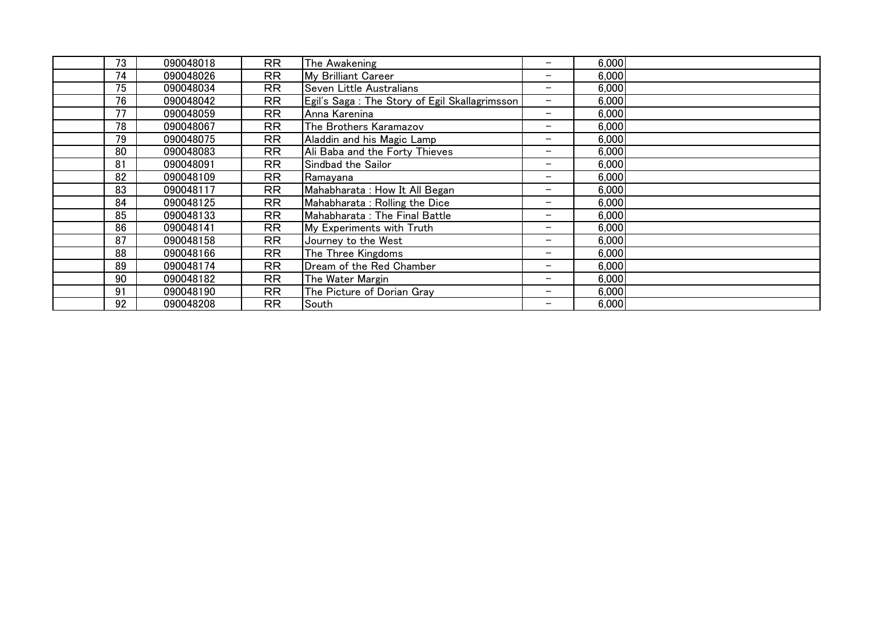| 73 | 090048018 | <b>RR</b> | The Awakening                                 | $\overline{\phantom{0}}$ | 6,000 |
|----|-----------|-----------|-----------------------------------------------|--------------------------|-------|
| 74 | 090048026 | <b>RR</b> | My Brilliant Career                           | -                        | 6,000 |
| 75 | 090048034 | <b>RR</b> | Seven Little Australians                      | $\qquad \qquad -$        | 6,000 |
| 76 | 090048042 | <b>RR</b> | Egil's Saga: The Story of Egil Skallagrimsson |                          | 6,000 |
| 77 | 090048059 | RR        | Anna Karenina                                 | $\qquad \qquad -$        | 6,000 |
| 78 | 090048067 | <b>RR</b> | The Brothers Karamazov                        | $\overline{\phantom{0}}$ | 6,000 |
| 79 | 090048075 | RR        | Aladdin and his Magic Lamp                    | -                        | 6,000 |
| 80 | 090048083 | <b>RR</b> | Ali Baba and the Forty Thieves                | $\overline{\phantom{0}}$ | 6,000 |
| 81 | 090048091 | <b>RR</b> | Sindbad the Sailor                            | $\overline{\phantom{0}}$ | 6,000 |
| 82 | 090048109 | <b>RR</b> | Ramayana                                      | $\qquad \qquad -$        | 6,000 |
| 83 | 090048117 | <b>RR</b> | Mahabharata: How It All Began                 | -                        | 6,000 |
| 84 | 090048125 | <b>RR</b> | Mahabharata: Rolling the Dice                 | -                        | 6,000 |
| 85 | 090048133 | <b>RR</b> | Mahabharata: The Final Battle                 | -                        | 6,000 |
| 86 | 090048141 | <b>RR</b> | My Experiments with Truth                     | -                        | 6,000 |
| 87 | 090048158 | <b>RR</b> | Journey to the West                           | $\overline{\phantom{m}}$ | 6,000 |
| 88 | 090048166 | <b>RR</b> | The Three Kingdoms                            | -                        | 6,000 |
| 89 | 090048174 | <b>RR</b> | Dream of the Red Chamber                      | $\overline{\phantom{m}}$ | 6,000 |
| 90 | 090048182 | <b>RR</b> | The Water Margin                              | $\overline{\phantom{m}}$ | 6,000 |
| 91 | 090048190 | <b>RR</b> | The Picture of Dorian Gray                    | $\overline{\phantom{m}}$ | 6,000 |
| 92 | 090048208 | RR        | South                                         | -                        | 6,000 |